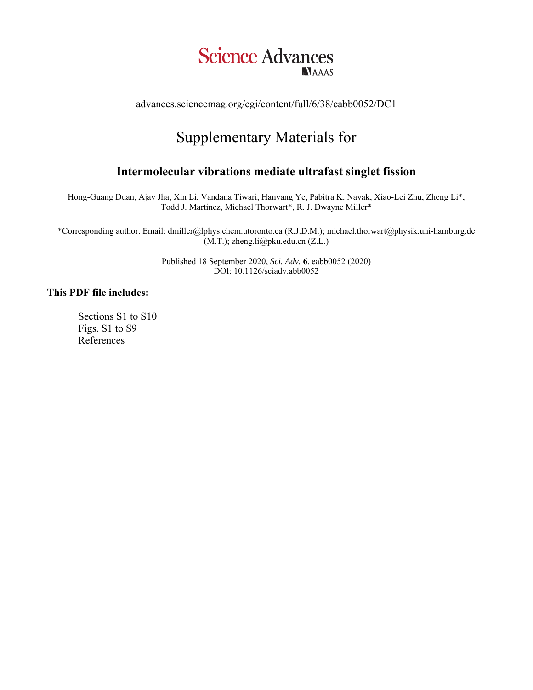

advances.sciencemag.org/cgi/content/full/6/38/eabb0052/DC1

# Supplementary Materials for

# **Intermolecular vibrations mediate ultrafast singlet fission**

Hong-Guang Duan, Ajay Jha, Xin Li, Vandana Tiwari, Hanyang Ye, Pabitra K. Nayak, Xiao-Lei Zhu, Zheng Li\*, Todd J. Martinez, Michael Thorwart\*, R. J. Dwayne Miller\*

\*Corresponding author. Email: dmiller@lphys.chem.utoronto.ca (R.J.D.M.); michael.thorwart@physik.uni-hamburg.de (M.T.); zheng.li@pku.edu.cn (Z.L.)

> Published 18 September 2020, *Sci. Adv.* **6**, eabb0052 (2020) DOI: 10.1126/sciadv.abb0052

# **This PDF file includes:**

Sections S1 to S10 Figs. S1 to S9 References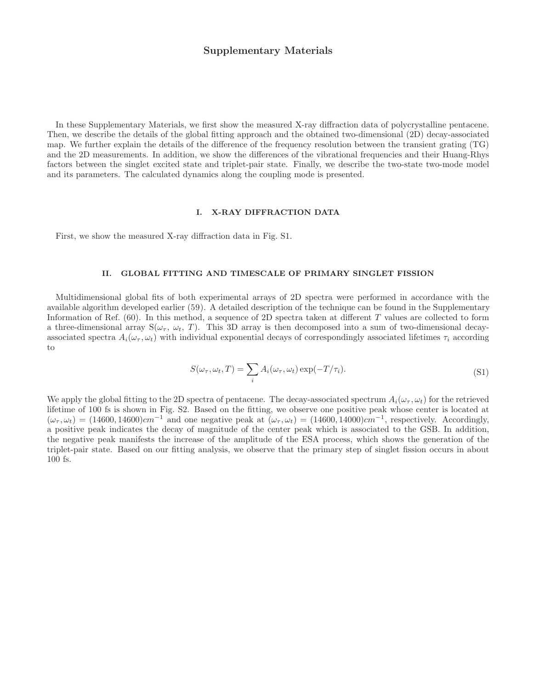### Supplementary Materials

In these Supplementary Materials, we first show the measured X-ray diffraction data of polycrystalline pentacene. Then, we describe the details of the global fitting approach and the obtained two-dimensional (2D) decay-associated map. We further explain the details of the difference of the frequency resolution between the transient grating (TG) and the 2D measurements. In addition, we show the differences of the vibrational frequencies and their Huang-Rhys factors between the singlet excited state and triplet-pair state. Finally, we describe the two-state two-mode model and its parameters. The calculated dynamics along the coupling mode is presented.

#### I. X-RAY DIFFRACTION DATA

First, we show the measured X-ray diffraction data in Fig. S1.

#### II. GLOBAL FITTING AND TIMESCALE OF PRIMARY SINGLET FISSION

Multidimensional global fits of both experimental arrays of 2D spectra were performed in accordance with the available algorithm developed earlier (59). A detailed description of the technique can be found in the Supplementary Information of Ref. (60). In this method, a sequence of 2D spectra taken at different T values are collected to form a three-dimensional array  $S(\omega_\tau, \omega_t, T)$ . This 3D array is then decomposed into a sum of two-dimensional decayassociated spectra  $A_i(\omega_\tau, \omega_t)$  with individual exponential decays of correspondingly associated lifetimes  $\tau_i$  according to

$$
S(\omega_{\tau}, \omega_t, T) = \sum_i A_i(\omega_{\tau}, \omega_t) \exp(-T/\tau_i).
$$
\n(S1)

We apply the global fitting to the 2D spectra of pentacene. The decay-associated spectrum  $A_i(\omega_\tau, \omega_t)$  for the retrieved lifetime of 100 fs is shown in Fig. S2. Based on the fitting, we observe one positive peak whose center is located at  $(\omega_\tau, \omega_t) = (14600, 14600)$ cm<sup>-1</sup> and one negative peak at  $(\omega_\tau, \omega_t) = (14600, 14000)$ cm<sup>-1</sup>, respectively. Accordingly, a positive peak indicates the decay of magnitude of the center peak which is associated to the GSB. In addition, the negative peak manifests the increase of the amplitude of the ESA process, which shows the generation of the triplet-pair state. Based on our fitting analysis, we observe that the primary step of singlet fission occurs in about 100 fs.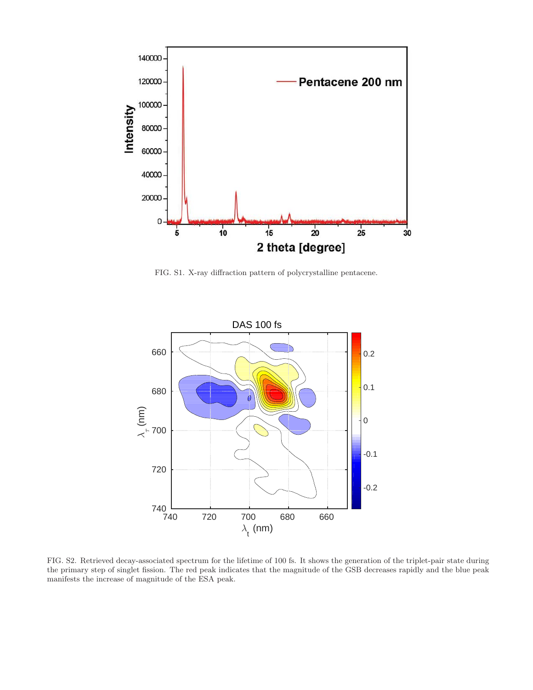

FIG. S1. X-ray diffraction pattern of polycrystalline pentacene.



FIG. S2. Retrieved decay-associated spectrum for the lifetime of 100 fs. It shows the generation of the triplet-pair state during the primary step of singlet fission. The red peak indicates that the magnitude of the GSB decreases rapidly and the blue peak manifests the increase of magnitude of the ESA peak.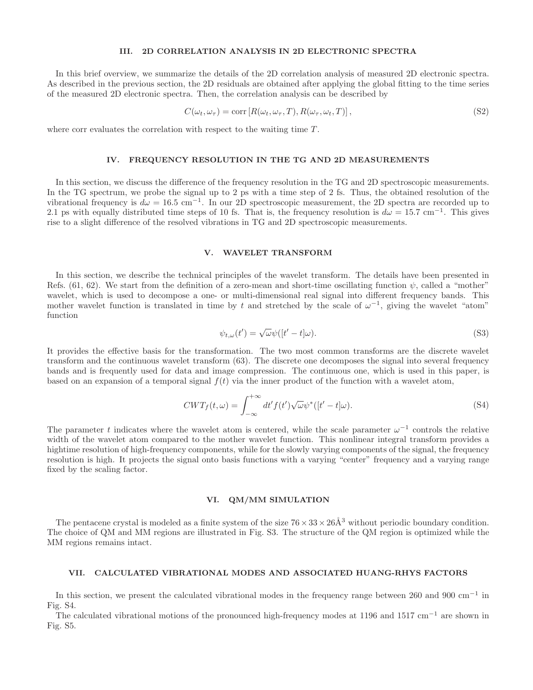#### III. 2D CORRELATION ANALYSIS IN 2D ELECTRONIC SPECTRA

In this brief overview, we summarize the details of the 2D correlation analysis of measured 2D electronic spectra. As described in the previous section, the 2D residuals are obtained after applying the global fitting to the time series of the measured 2D electronic spectra. Then, the correlation analysis can be described by

$$
C(\omega_t, \omega_\tau) = \text{corr}\left[R(\omega_t, \omega_\tau, T), R(\omega_\tau, \omega_t, T)\right],\tag{S2}
$$

where corr evaluates the correlation with respect to the waiting time T.

#### IV. FREQUENCY RESOLUTION IN THE TG AND 2D MEASUREMENTS

In this section, we discuss the difference of the frequency resolution in the TG and 2D spectroscopic measurements. In the TG spectrum, we probe the signal up to 2 ps with a time step of 2 fs. Thus, the obtained resolution of the vibrational frequency is  $d\omega = 16.5 \text{ cm}^{-1}$ . In our 2D spectroscopic measurement, the 2D spectra are recorded up to 2.1 ps with equally distributed time steps of 10 fs. That is, the frequency resolution is  $d\omega = 15.7 \text{ cm}^{-1}$ . This gives rise to a slight difference of the resolved vibrations in TG and 2D spectroscopic measurements.

#### V. WAVELET TRANSFORM

In this section, we describe the technical principles of the wavelet transform. The details have been presented in Refs. (61, 62). We start from the definition of a zero-mean and short-time oscillating function  $\psi$ , called a "mother" wavelet, which is used to decompose a one- or multi-dimensional real signal into different frequency bands. This mother wavelet function is translated in time by t and stretched by the scale of  $\omega^{-1}$ , giving the wavelet "atom" function

$$
\psi_{t,\omega}(t') = \sqrt{\omega}\psi([t'-t]\omega). \tag{S3}
$$

It provides the effective basis for the transformation. The two most common transforms are the discrete wavelet transform and the continuous wavelet transform (63). The discrete one decomposes the signal into several frequency bands and is frequently used for data and image compression. The continuous one, which is used in this paper, is based on an expansion of a temporal signal  $f(t)$  via the inner product of the function with a wavelet atom,

$$
CWT_f(t,\omega) = \int_{-\infty}^{+\infty} dt' f(t') \sqrt{\omega} \psi^* ([t'-t]\omega).
$$
\n(S4)

The parameter t indicates where the wavelet atom is centered, while the scale parameter  $\omega^{-1}$  controls the relative width of the wavelet atom compared to the mother wavelet function. This nonlinear integral transform provides a hightime resolution of high-frequency components, while for the slowly varying components of the signal, the frequency resolution is high. It projects the signal onto basis functions with a varying "center" frequency and a varying range fixed by the scaling factor.

#### VI. QM/MM SIMULATION

The pentacene crystal is modeled as a finite system of the size  $76 \times 33 \times 26\AA^3$  without periodic boundary condition. The choice of QM and MM regions are illustrated in Fig. S3. The structure of the QM region is optimized while the MM regions remains intact.

#### VII. CALCULATED VIBRATIONAL MODES AND ASSOCIATED HUANG-RHYS FACTORS

In this section, we present the calculated vibrational modes in the frequency range between 260 and 900  $cm^{-1}$  in Fig. S4.

The calculated vibrational motions of the pronounced high-frequency modes at 1196 and 1517 cm<sup>−</sup><sup>1</sup> are shown in Fig. S5.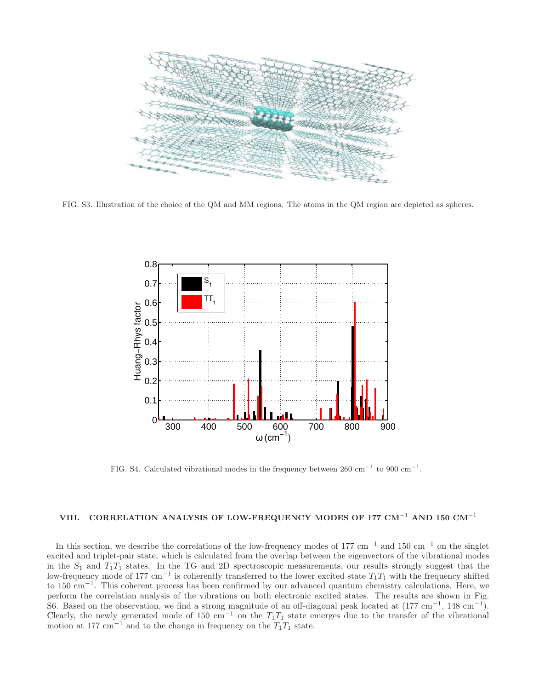

FIG. S3. Illustration of the choice of the QM and MM regions. The atoms in the QM region are depicted as spheres.



FIG. S4. Calculated vibrational modes in the frequency between  $260 \text{ cm}^{-1}$  to  $900 \text{ cm}^{-1}$ .

# VIII. CORRELATION ANALYSIS OF LOW-FREQUENCY MODES OF 177 CM<sup>-1</sup> AND 150 CM<sup>-1</sup>

In this section, we describe the correlations of the low-frequency modes of 177 cm<sup>-1</sup> and 150 cm<sup>-1</sup> on the singlet excited and triplet-pair state, which is calculated from the overlap between the eigenvectors of the vibrational modes in the  $S_1$  and  $T_1T_1$  states. In the TG and 2D spectroscopic measurements, our results strongly suggest that the low-frequency mode of 177 cm<sup>-1</sup> is coherently transferred to the lower excited state  $T_1T_1$  with the frequency shifted to 150 cm<sup>−</sup><sup>1</sup> . This coherent process has been confirmed by our advanced quantum chemistry calculations. Here, we perform the correlation analysis of the vibrations on both electronic excited states. The results are shown in Fig. S6. Based on the observation, we find a strong magnitude of an off-diagonal peak located at  $(177 \text{ cm}^{-1}, 148 \text{ cm}^{-1})$ . Clearly, the newly generated mode of 150 cm<sup>-1</sup> on the  $T_1T_1$  state emerges due to the transfer of the vibrational motion at 177 cm<sup>-1</sup> and to the change in frequency on the  $T_1T_1$  state.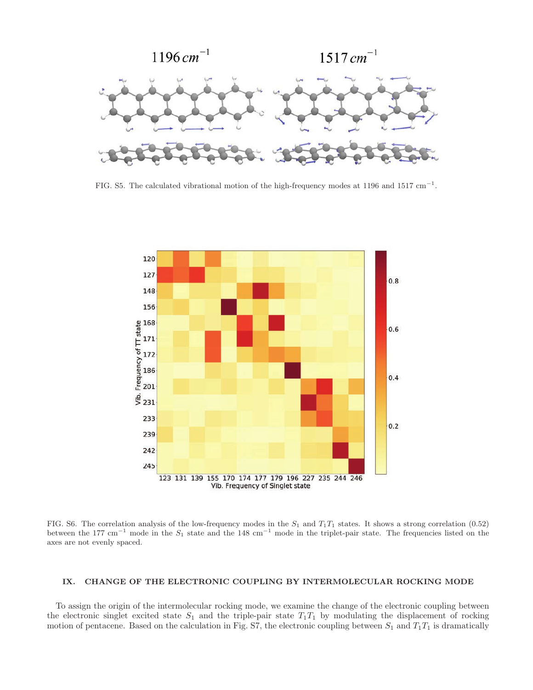

FIG. S5. The calculated vibrational motion of the high-frequency modes at 1196 and 1517  $cm^{-1}$ .



FIG. S6. The correlation analysis of the low-frequency modes in the  $S_1$  and  $T_1T_1$  states. It shows a strong correlation (0.52) between the 177 cm<sup>-1</sup> mode in the  $S_1$  state and the 148 cm<sup>-1</sup> mode in the triplet-pair state. The frequencies listed on the axes are not evenly spaced.

#### IX. CHANGE OF THE ELECTRONIC COUPLING BY INTERMOLECULAR ROCKING MODE

To assign the origin of the intermolecular rocking mode, we examine the change of the electronic coupling between the electronic singlet excited state  $S_1$  and the triple-pair state  $T_1T_1$  by modulating the displacement of rocking motion of pentacene. Based on the calculation in Fig. S7, the electronic coupling between  $S_1$  and  $T_1T_1$  is dramatically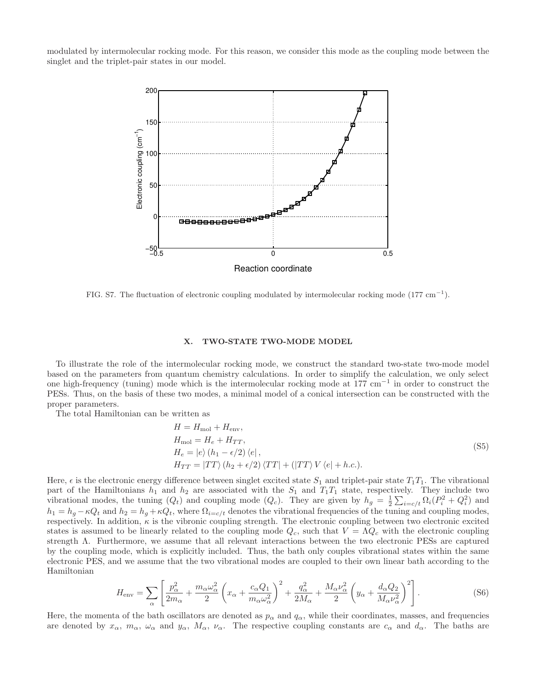modulated by intermolecular rocking mode. For this reason, we consider this mode as the coupling mode between the singlet and the triplet-pair states in our model.



FIG. S7. The fluctuation of electronic coupling modulated by intermolecular rocking mode  $(177 \text{ cm}^{-1})$ .

#### X. TWO-STATE TWO-MODE MODEL

To illustrate the role of the intermolecular rocking mode, we construct the standard two-state two-mode model based on the parameters from quantum chemistry calculations. In order to simplify the calculation, we only select one high-frequency (tuning) mode which is the intermolecular rocking mode at 177 cm<sup>-1</sup> in order to construct the PESs. Thus, on the basis of these two modes, a minimal model of a conical intersection can be constructed with the proper parameters.

The total Hamiltonian can be written as

$$
H = H_{\text{mol}} + H_{\text{env}},
$$
  
\n
$$
H_{\text{mol}} = H_e + H_{TT},
$$
  
\n
$$
H_e = |e\rangle (h_1 - \epsilon/2) \langle e|,
$$
  
\n
$$
H_{TT} = |TT\rangle (h_2 + \epsilon/2) \langle TT| + (|TT\rangle V \langle e| + h.c.).
$$
\n(S5)

Here,  $\epsilon$  is the electronic energy difference between singlet excited state  $S_1$  and triplet-pair state  $T_1T_1$ . The vibrational part of the Hamiltonians  $h_1$  and  $h_2$  are associated with the  $S_1$  and  $T_1T_1$  state, respectively. They include two vibrational modes, the tuning  $(Q_t)$  and coupling mode  $(Q_c)$ . They are given by  $h_g = \frac{1}{2} \sum_{i=c/t} \Omega_i (P_i^2 + Q_i^2)$  and  $h_1 = h_q - \kappa Q_t$  and  $h_2 = h_q + \kappa Q_t$ , where  $\Omega_{i=c/t}$  denotes the vibrational frequencies of the tuning and coupling modes, respectively. In addition,  $\kappa$  is the vibronic coupling strength. The electronic coupling between two electronic excited states is assumed to be linearly related to the coupling mode  $Q_c$ , such that  $V = \Lambda Q_c$  with the electronic coupling strength Λ. Furthermore, we assume that all relevant interactions between the two electronic PESs are captured by the coupling mode, which is explicitly included. Thus, the bath only couples vibrational states within the same electronic PES, and we assume that the two vibrational modes are coupled to their own linear bath according to the Hamiltonian

$$
H_{\text{env}} = \sum_{\alpha} \left[ \frac{p_{\alpha}^2}{2m_{\alpha}} + \frac{m_{\alpha}\omega_{\alpha}^2}{2} \left( x_{\alpha} + \frac{c_{\alpha}Q_1}{m_{\alpha}\omega_{\alpha}^2} \right)^2 + \frac{q_{\alpha}^2}{2M_{\alpha}} + \frac{M_{\alpha}\nu_{\alpha}^2}{2} \left( y_{\alpha} + \frac{d_{\alpha}Q_2}{M_{\alpha}\nu_{\alpha}^2} \right)^2 \right]. \tag{S6}
$$

Here, the momenta of the bath oscillators are denoted as  $p_\alpha$  and  $q_\alpha$ , while their coordinates, masses, and frequencies are denoted by  $x_{\alpha}$ ,  $m_{\alpha}$ ,  $\omega_{\alpha}$  and  $y_{\alpha}$ ,  $M_{\alpha}$ ,  $\nu_{\alpha}$ . The respective coupling constants are  $c_{\alpha}$  and  $d_{\alpha}$ . The baths are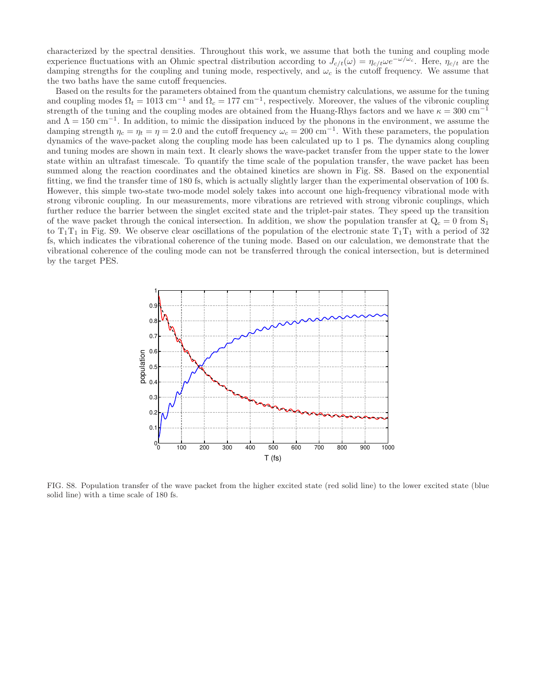characterized by the spectral densities. Throughout this work, we assume that both the tuning and coupling mode experience fluctuations with an Ohmic spectral distribution according to  $J_{c/t}(\omega) = \eta_{c/t}\omega e^{-\omega/\omega_c}$ . Here,  $\eta_{c/t}$  are the damping strengths for the coupling and tuning mode, respectively, and  $\omega_c$  is the cutoff frequency. We assume that the two baths have the same cutoff frequencies.

Based on the results for the parameters obtained from the quantum chemistry calculations, we assume for the tuning and coupling modes  $\Omega_t = 1013$  cm<sup>-1</sup> and  $\Omega_c = 177$  cm<sup>-1</sup>, respectively. Moreover, the values of the vibronic coupling strength of the tuning and the coupling modes are obtained from the Huang-Rhys factors and we have  $\kappa = 300 \text{ cm}^{-1}$ and  $\widetilde{\Lambda} = 150 \text{ cm}^{-1}$ . In addition, to mimic the dissipation induced by the phonons in the environment, we assume the damping strength  $\eta_c = \eta_t = \eta = 2.0$  and the cutoff frequency  $\omega_c = 200 \text{ cm}^{-1}$ . With these parameters, the population dynamics of the wave-packet along the coupling mode has been calculated up to 1 ps. The dynamics along coupling and tuning modes are shown in main text. It clearly shows the wave-packet transfer from the upper state to the lower state within an ultrafast timescale. To quantify the time scale of the population transfer, the wave packet has been summed along the reaction coordinates and the obtained kinetics are shown in Fig. S8. Based on the exponential fitting, we find the transfer time of 180 fs, which is actually slightly larger than the experimental observation of 100 fs. However, this simple two-state two-mode model solely takes into account one high-frequency vibrational mode with strong vibronic coupling. In our measurements, more vibrations are retrieved with strong vibronic couplings, which further reduce the barrier between the singlet excited state and the triplet-pair states. They speed up the transition of the wave packet through the conical intersection. In addition, we show the population transfer at  $Q_c = 0$  from  $S_1$ to  $T_1T_1$  in Fig. S9. We observe clear oscillations of the population of the electronic state  $T_1T_1$  with a period of 32 fs, which indicates the vibrational coherence of the tuning mode. Based on our calculation, we demonstrate that the vibrational coherence of the couling mode can not be transferred through the conical intersection, but is determined by the target PES.



FIG. S8. Population transfer of the wave packet from the higher excited state (red solid line) to the lower excited state (blue solid line) with a time scale of 180 fs.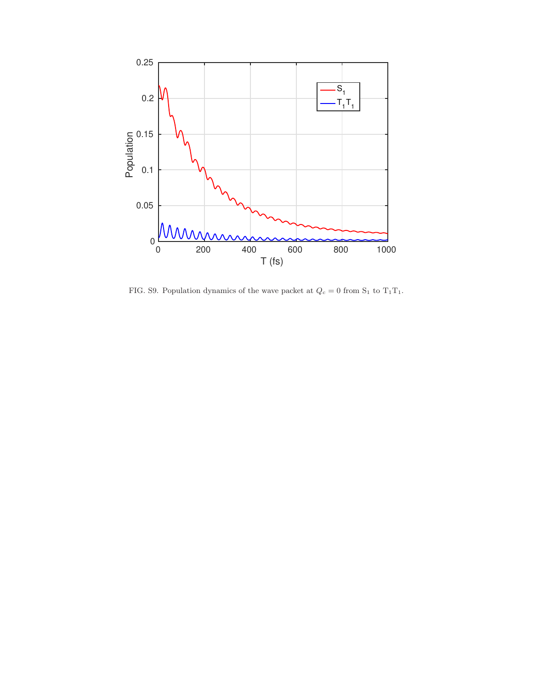

FIG. S9. Population dynamics of the wave packet at  $Q_c=0$  from  $\mathrm{S}_1$  to  $\mathrm{T}_1\mathrm{T}_1.$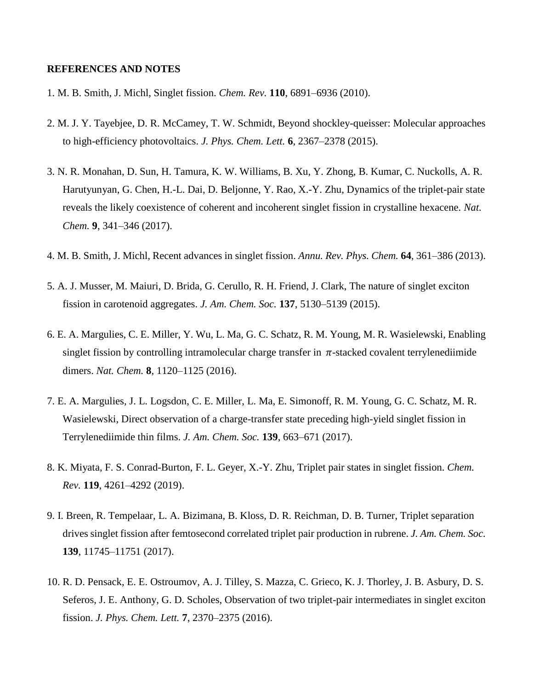## **REFERENCES AND NOTES**

- 1. M. B. Smith, J. Michl, Singlet fission. *Chem. Rev.* **110**, 6891–6936 (2010).
- 2. M. J. Y. Tayebjee, D. R. McCamey, T. W. Schmidt, Beyond shockley-queisser: Molecular approaches to high-efficiency photovoltaics. *J. Phys. Chem. Lett.* **6**, 2367–2378 (2015).
- 3. N. R. Monahan, D. Sun, H. Tamura, K. W. Williams, B. Xu, Y. Zhong, B. Kumar, C. Nuckolls, A. R. Harutyunyan, G. Chen, H.-L. Dai, D. Beljonne, Y. Rao, X.-Y. Zhu, Dynamics of the triplet-pair state reveals the likely coexistence of coherent and incoherent singlet fission in crystalline hexacene. *Nat. Chem.* **9**, 341–346 (2017).
- 4. M. B. Smith, J. Michl, Recent advances in singlet fission. *Annu. Rev. Phys. Chem.* **64**, 361–386 (2013).
- 5. A. J. Musser, M. Maiuri, D. Brida, G. Cerullo, R. H. Friend, J. Clark, The nature of singlet exciton fission in carotenoid aggregates. *J. Am. Chem. Soc.* **137**, 5130–5139 (2015).
- 6. E. A. Margulies, C. E. Miller, Y. Wu, L. Ma, G. C. Schatz, R. M. Young, M. R. Wasielewski, Enabling singlet fission by controlling intramolecular charge transfer in  $\pi$ -stacked covalent terrylenediimide dimers. *Nat. Chem.* **8**, 1120–1125 (2016).
- 7. E. A. Margulies, J. L. Logsdon, C. E. Miller, L. Ma, E. Simonoff, R. M. Young, G. C. Schatz, M. R. Wasielewski, Direct observation of a charge-transfer state preceding high-yield singlet fission in Terrylenediimide thin films. *J. Am. Chem. Soc.* **139**, 663–671 (2017).
- 8. K. Miyata, F. S. Conrad-Burton, F. L. Geyer, X.-Y. Zhu, Triplet pair states in singlet fission. *Chem. Rev.* **119**, 4261–4292 (2019).
- 9. I. Breen, R. Tempelaar, L. A. Bizimana, B. Kloss, D. R. Reichman, D. B. Turner, Triplet separation drives singlet fission after femtosecond correlated triplet pair production in rubrene. *J. Am. Chem. Soc.* **139**, 11745–11751 (2017).
- 10. R. D. Pensack, E. E. Ostroumov, A. J. Tilley, S. Mazza, C. Grieco, K. J. Thorley, J. B. Asbury, D. S. Seferos, J. E. Anthony, G. D. Scholes, Observation of two triplet-pair intermediates in singlet exciton fission. *J. Phys. Chem. Lett.* **7**, 2370–2375 (2016).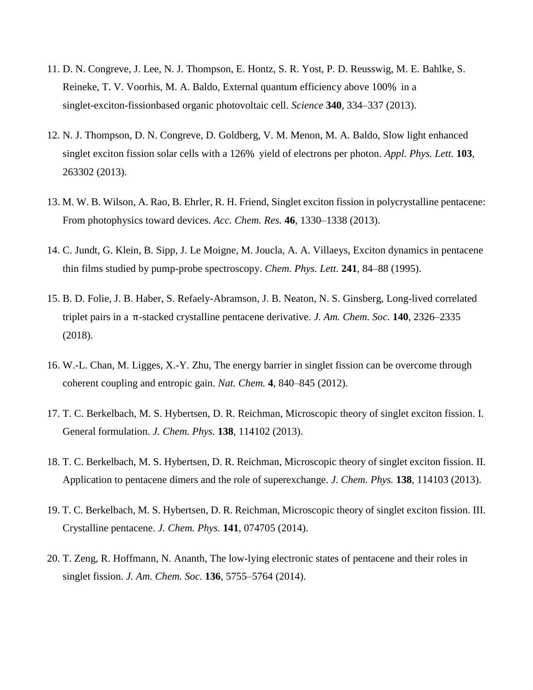- 11. D. N. Congreve, J. Lee, N. J. Thompson, E. Hontz, S. R. Yost, P. D. Reusswig, M. E. Bahlke, S. Reineke, T. V. Voorhis, M. A. Baldo, External quantum efficiency above 100% in a singlet-exciton-fissionbased organic photovoltaic cell. *Science* **340**, 334–337 (2013).
- 12. N. J. Thompson, D. N. Congreve, D. Goldberg, V. M. Menon, M. A. Baldo, Slow light enhanced singlet exciton fission solar cells with a 126% yield of electrons per photon. *Appl. Phys. Lett.* **103**, 263302 (2013).
- 13. M. W. B. Wilson, A. Rao, B. Ehrler, R. H. Friend, Singlet exciton fission in polycrystalline pentacene: From photophysics toward devices. *Acc. Chem. Res.* **46**, 1330–1338 (2013).
- 14. C. Jundt, G. Klein, B. Sipp, J. Le Moigne, M. Joucla, A. A. Villaeys, Exciton dynamics in pentacene thin films studied by pump-probe spectroscopy. *Chem. Phys. Lett.* **241**, 84–88 (1995).
- 15. B. D. Folie, J. B. Haber, S. Refaely-Abramson, J. B. Neaton, N. S. Ginsberg, Long-lived correlated triplet pairs in a π-stacked crystalline pentacene derivative. *J. Am. Chem. Soc.* **140**, 2326–2335 (2018).
- 16. W.-L. Chan, M. Ligges, X.-Y. Zhu, The energy barrier in singlet fission can be overcome through coherent coupling and entropic gain. *Nat. Chem.* **4**, 840–845 (2012).
- 17. T. C. Berkelbach, M. S. Hybertsen, D. R. Reichman, Microscopic theory of singlet exciton fission. I. General formulation. *J. Chem. Phys.* **138**, 114102 (2013).
- 18. T. C. Berkelbach, M. S. Hybertsen, D. R. Reichman, Microscopic theory of singlet exciton fission. II. Application to pentacene dimers and the role of superexchange. *J. Chem. Phys.* **138**, 114103 (2013).
- 19. T. C. Berkelbach, M. S. Hybertsen, D. R. Reichman, Microscopic theory of singlet exciton fission. III. Crystalline pentacene. *J. Chem. Phys.* **141**, 074705 (2014).
- 20. T. Zeng, R. Hoffmann, N. Ananth, The low-lying electronic states of pentacene and their roles in singlet fission. *J. Am. Chem. Soc.* **136**, 5755–5764 (2014).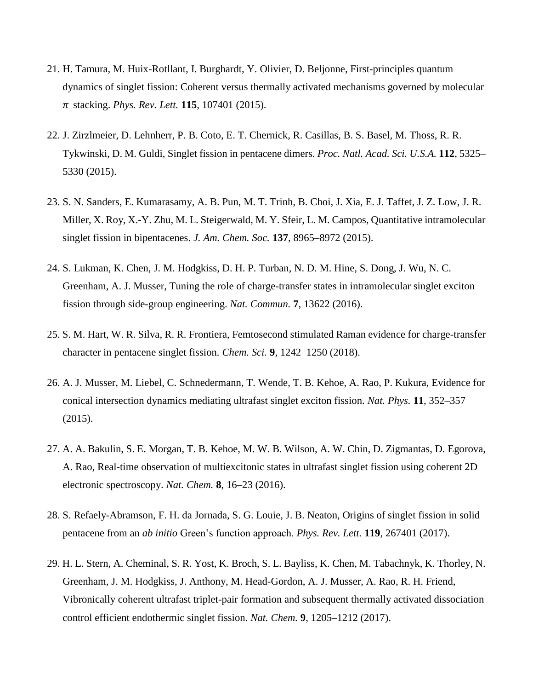- 21. H. Tamura, M. Huix-Rotllant, I. Burghardt, Y. Olivier, D. Beljonne, First-principles quantum dynamics of singlet fission: Coherent versus thermally activated mechanisms governed by molecular  $\pi$  stacking. *Phys. Rev. Lett.* **115**, 107401 (2015).
- 22. J. Zirzlmeier, D. Lehnherr, P. B. Coto, E. T. Chernick, R. Casillas, B. S. Basel, M. Thoss, R. R. Tykwinski, D. M. Guldi, Singlet fission in pentacene dimers. *Proc. Natl. Acad. Sci. U.S.A.* **112**, 5325– 5330 (2015).
- 23. S. N. Sanders, E. Kumarasamy, A. B. Pun, M. T. Trinh, B. Choi, J. Xia, E. J. Taffet, J. Z. Low, J. R. Miller, X. Roy, X.-Y. Zhu, M. L. Steigerwald, M. Y. Sfeir, L. M. Campos, Quantitative intramolecular singlet fission in bipentacenes. *J. Am. Chem. Soc.* **137**, 8965–8972 (2015).
- 24. S. Lukman, K. Chen, J. M. Hodgkiss, D. H. P. Turban, N. D. M. Hine, S. Dong, J. Wu, N. C. Greenham, A. J. Musser, Tuning the role of charge-transfer states in intramolecular singlet exciton fission through side-group engineering. *Nat. Commun.* **7**, 13622 (2016).
- 25. S. M. Hart, W. R. Silva, R. R. Frontiera, Femtosecond stimulated Raman evidence for charge-transfer character in pentacene singlet fission. *Chem. Sci.* **9**, 1242–1250 (2018).
- 26. A. J. Musser, M. Liebel, C. Schnedermann, T. Wende, T. B. Kehoe, A. Rao, P. Kukura, Evidence for conical intersection dynamics mediating ultrafast singlet exciton fission. *Nat. Phys.* **11**, 352–357 (2015).
- 27. A. A. Bakulin, S. E. Morgan, T. B. Kehoe, M. W. B. Wilson, A. W. Chin, D. Zigmantas, D. Egorova, A. Rao, Real-time observation of multiexcitonic states in ultrafast singlet fission using coherent 2D electronic spectroscopy. *Nat. Chem.* **8**, 16–23 (2016).
- 28. S. Refaely-Abramson, F. H. da Jornada, S. G. Louie, J. B. Neaton, Origins of singlet fission in solid pentacene from an *ab initio* Green's function approach. *Phys. Rev. Lett.* **119**, 267401 (2017).
- 29. H. L. Stern, A. Cheminal, S. R. Yost, K. Broch, S. L. Bayliss, K. Chen, M. Tabachnyk, K. Thorley, N. Greenham, J. M. Hodgkiss, J. Anthony, M. Head-Gordon, A. J. Musser, A. Rao, R. H. Friend, Vibronically coherent ultrafast triplet-pair formation and subsequent thermally activated dissociation control efficient endothermic singlet fission. *Nat. Chem.* **9**, 1205–1212 (2017).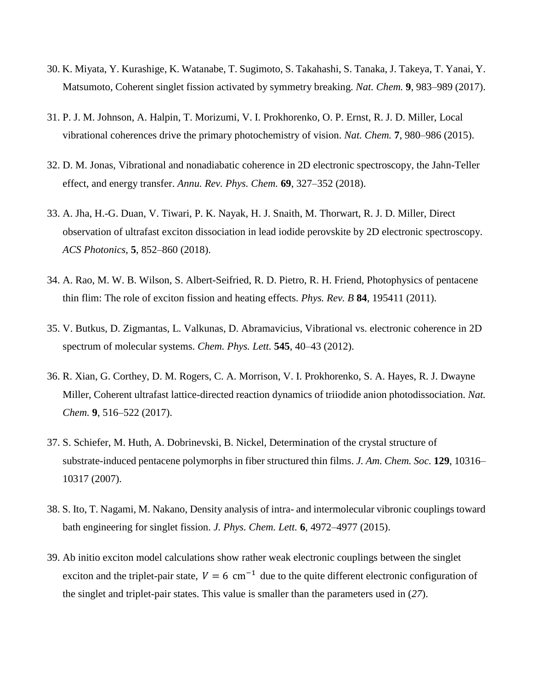- 30. K. Miyata, Y. Kurashige, K. Watanabe, T. Sugimoto, S. Takahashi, S. Tanaka, J. Takeya, T. Yanai, Y. Matsumoto, Coherent singlet fission activated by symmetry breaking. *Nat. Chem.* **9**, 983–989 (2017).
- 31. P. J. M. Johnson, A. Halpin, T. Morizumi, V. I. Prokhorenko, O. P. Ernst, R. J. D. Miller, Local vibrational coherences drive the primary photochemistry of vision. *Nat. Chem.* **7**, 980–986 (2015).
- 32. D. M. Jonas, Vibrational and nonadiabatic coherence in 2D electronic spectroscopy, the Jahn-Teller effect, and energy transfer. *Annu. Rev. Phys. Chem.* **69**, 327–352 (2018).
- 33. A. Jha, H.-G. Duan, V. Tiwari, P. K. Nayak, H. J. Snaith, M. Thorwart, R. J. D. Miller, Direct observation of ultrafast exciton dissociation in lead iodide perovskite by 2D electronic spectroscopy. *ACS Photonics*, **5**, 852–860 (2018).
- 34. A. Rao, M. W. B. Wilson, S. Albert-Seifried, R. D. Pietro, R. H. Friend, Photophysics of pentacene thin flim: The role of exciton fission and heating effects. *Phys. Rev. B* **84**, 195411 (2011).
- 35. V. Butkus, D. Zigmantas, L. Valkunas, D. Abramavicius, Vibrational vs. electronic coherence in 2D spectrum of molecular systems. *Chem. Phys. Lett.* **545**, 40–43 (2012).
- 36. R. Xian, G. Corthey, D. M. Rogers, C. A. Morrison, V. I. Prokhorenko, S. A. Hayes, R. J. Dwayne Miller, Coherent ultrafast lattice-directed reaction dynamics of triiodide anion photodissociation. *Nat. Chem.* **9**, 516–522 (2017).
- 37. S. Schiefer, M. Huth, A. Dobrinevski, B. Nickel, Determination of the crystal structure of substrate-induced pentacene polymorphs in fiber structured thin films. *J. Am. Chem. Soc.* **129**, 10316– 10317 (2007).
- 38. S. Ito, T. Nagami, M. Nakano, Density analysis of intra- and intermolecular vibronic couplings toward bath engineering for singlet fission. *J. Phys. Chem. Lett.* **6**, 4972–4977 (2015).
- 39. Ab initio exciton model calculations show rather weak electronic couplings between the singlet exciton and the triplet-pair state,  $V = 6$  cm<sup>-1</sup> due to the quite different electronic configuration of the singlet and triplet-pair states. This value is smaller than the parameters used in (*27*).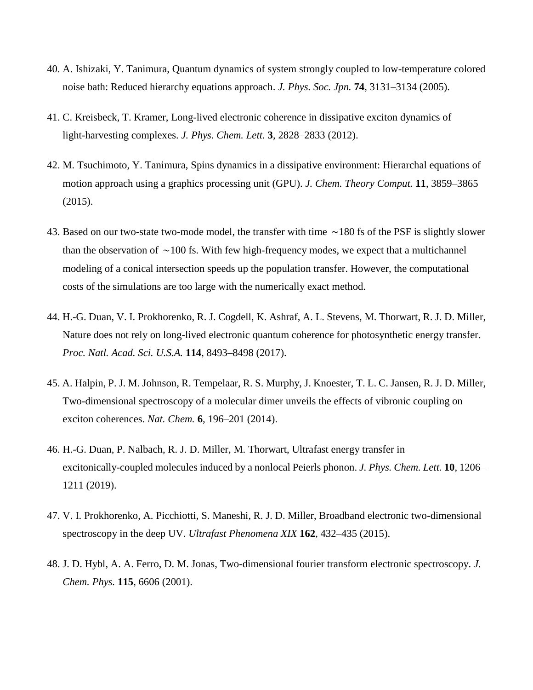- 40. A. Ishizaki, Y. Tanimura, Quantum dynamics of system strongly coupled to low-temperature colored noise bath: Reduced hierarchy equations approach. *J. Phys. Soc. Jpn.* **74**, 3131–3134 (2005).
- 41. C. Kreisbeck, T. Kramer, Long-lived electronic coherence in dissipative exciton dynamics of light-harvesting complexes. *J. Phys. Chem. Lett.* **3**, 2828–2833 (2012).
- 42. M. Tsuchimoto, Y. Tanimura, Spins dynamics in a dissipative environment: Hierarchal equations of motion approach using a graphics processing unit (GPU). *J. Chem. Theory Comput.* **11**, 3859–3865 (2015).
- 43. Based on our two-state two-mode model, the transfer with time ∼180 fs of the PSF is slightly slower than the observation of ∼100 fs. With few high-frequency modes, we expect that a multichannel modeling of a conical intersection speeds up the population transfer. However, the computational costs of the simulations are too large with the numerically exact method.
- 44. H.-G. Duan, V. I. Prokhorenko, R. J. Cogdell, K. Ashraf, A. L. Stevens, M. Thorwart, R. J. D. Miller, Nature does not rely on long-lived electronic quantum coherence for photosynthetic energy transfer. *Proc. Natl. Acad. Sci. U.S.A.* **114**, 8493–8498 (2017).
- 45. A. Halpin, P. J. M. Johnson, R. Tempelaar, R. S. Murphy, J. Knoester, T. L. C. Jansen, R. J. D. Miller, Two-dimensional spectroscopy of a molecular dimer unveils the effects of vibronic coupling on exciton coherences. *Nat. Chem.* **6**, 196–201 (2014).
- 46. H.-G. Duan, P. Nalbach, R. J. D. Miller, M. Thorwart, Ultrafast energy transfer in excitonically-coupled molecules induced by a nonlocal Peierls phonon. *J. Phys. Chem. Lett.* **10**, 1206– 1211 (2019).
- 47. V. I. Prokhorenko, A. Picchiotti, S. Maneshi, R. J. D. Miller, Broadband electronic two-dimensional spectroscopy in the deep UV. *Ultrafast Phenomena XIX* **162**, 432–435 (2015).
- 48. J. D. Hybl, A. A. Ferro, D. M. Jonas, Two-dimensional fourier transform electronic spectroscopy. *J. Chem. Phys.* **115**, 6606 (2001).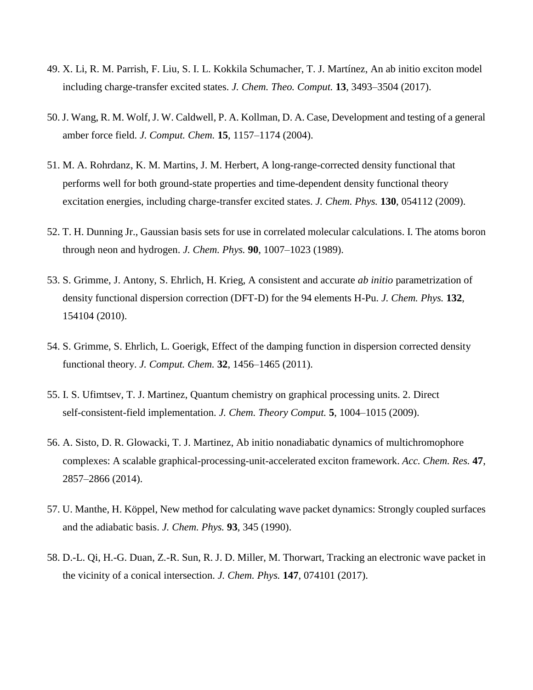- 49. X. Li, R. M. Parrish, F. Liu, S. I. L. Kokkila Schumacher, T. J. Martínez, An ab initio exciton model including charge-transfer excited states. *J. Chem. Theo. Comput.* **13**, 3493–3504 (2017).
- 50. J. Wang, R. M. Wolf, J. W. Caldwell, P. A. Kollman, D. A. Case, Development and testing of a general amber force field. *J. Comput. Chem.* **15**, 1157–1174 (2004).
- 51. M. A. Rohrdanz, K. M. Martins, J. M. Herbert, A long-range-corrected density functional that performs well for both ground-state properties and time-dependent density functional theory excitation energies, including charge-transfer excited states. *J. Chem. Phys.* **130**, 054112 (2009).
- 52. T. H. Dunning Jr., Gaussian basis sets for use in correlated molecular calculations. I. The atoms boron through neon and hydrogen. *J. Chem. Phys.* **90**, 1007–1023 (1989).
- 53. S. Grimme, J. Antony, S. Ehrlich, H. Krieg, A consistent and accurate *ab initio* parametrization of density functional dispersion correction (DFT-D) for the 94 elements H-Pu. *J. Chem. Phys.* **132**, 154104 (2010).
- 54. S. Grimme, S. Ehrlich, L. Goerigk, Effect of the damping function in dispersion corrected density functional theory. *J. Comput. Chem.* **32**, 1456–1465 (2011).
- 55. I. S. Ufimtsev, T. J. Martinez, Quantum chemistry on graphical processing units. 2. Direct self-consistent-field implementation. *J. Chem. Theory Comput.* **5**, 1004–1015 (2009).
- 56. A. Sisto, D. R. Glowacki, T. J. Martinez, Ab initio nonadiabatic dynamics of multichromophore complexes: A scalable graphical-processing-unit-accelerated exciton framework. *Acc. Chem. Res.* **47**, 2857–2866 (2014).
- 57. U. Manthe, H. Köppel, New method for calculating wave packet dynamics: Strongly coupled surfaces and the adiabatic basis. *J. Chem. Phys.* **93**, 345 (1990).
- 58. D.-L. Qi, H.-G. Duan, Z.-R. Sun, R. J. D. Miller, M. Thorwart, Tracking an electronic wave packet in the vicinity of a conical intersection. *J. Chem. Phys.* **147**, 074101 (2017).